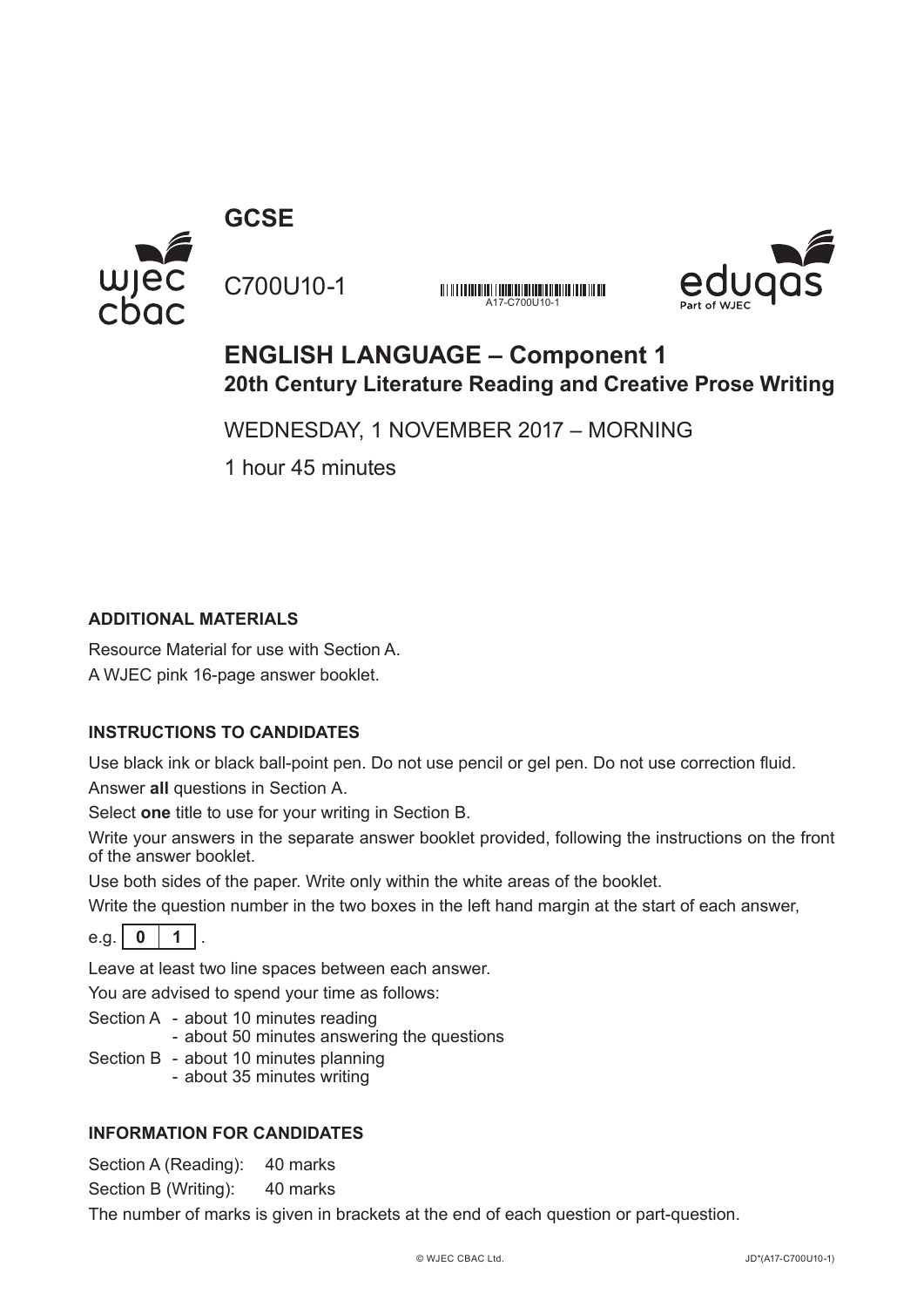**GCSE**



C700U10-1 A17-C700U10-1



# **ENGLISH LANGUAGE – Component 1 20th Century Literature Reading and Creative Prose Writing**

WEDNESDAY, 1 NOVEMBER 2017 – MORNING

1 hour 45 minutes

# **ADDITIONAL MATERIALS**

Resource Material for use with Section A. A WJEC pink 16-page answer booklet.

# **INSTRUCTIONS TO CANDIDATES**

Use black ink or black ball-point pen. Do not use pencil or gel pen. Do not use correction fluid. Answer **all** questions in Section A.

Select **one** title to use for your writing in Section B.

Write your answers in the separate answer booklet provided, following the instructions on the front of the answer booklet.

Use both sides of the paper. Write only within the white areas of the booklet.

Write the question number in the two boxes in the left hand margin at the start of each answer,

e.g.  $\vert 0 \vert 1$ 

Leave at least two line spaces between each answer.

You are advised to spend your time as follows:

Section A - about 10 minutes reading

- about 50 minutes answering the questions

- Section B about 10 minutes planning
	- about 35 minutes writing

# **INFORMATION FOR CANDIDATES**

Section A (Reading): 40 marks

Section B (Writing): 40 marks

The number of marks is given in brackets at the end of each question or part-question.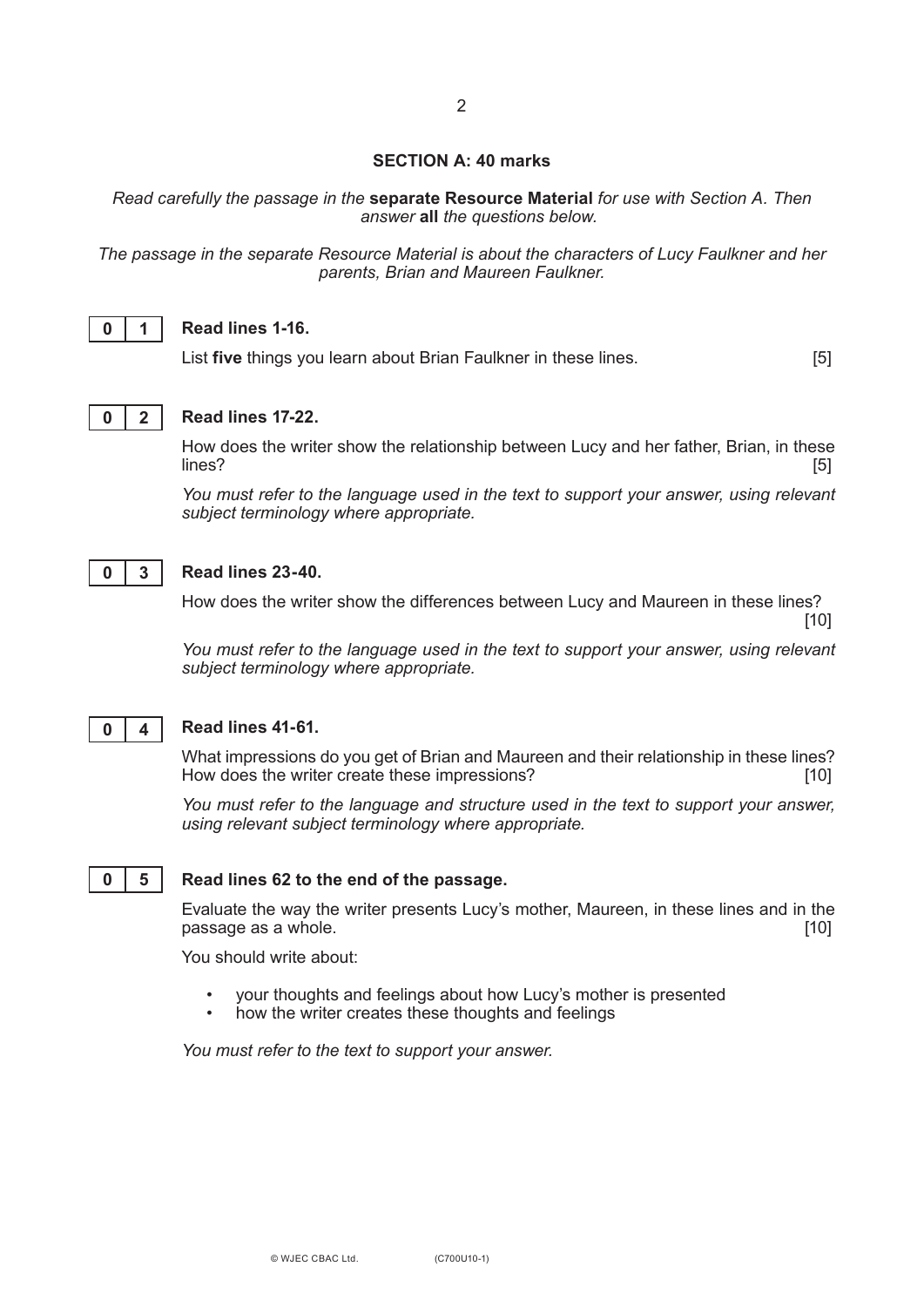#### **SECTION A: 40 marks**

*Read carefully the passage in the* **separate Resource Material** *for use with Section A. Then answer* **all** *the questions below.*

*The passage in the separate Resource Material is about the characters of Lucy Faulkner and her parents, Brian and Maureen Faulkner.*



### **Read lines 1-16.**

List **five** things you learn about Brian Faulkner in these lines. [5]



#### **Read lines 17-22.**

How does the writer show the relationship between Lucy and her father, Brian, in these<br>[5] lines? [5]

*You must refer to the language used in the text to support your answer, using relevant subject terminology where appropriate.*



### **Read lines 23-40.**

How does the writer show the differences between Lucy and Maureen in these lines? [10]

*You must refer to the language used in the text to support your answer, using relevant subject terminology where appropriate.*



# **Read lines 41-61.**

What impressions do you get of Brian and Maureen and their relationship in these lines?<br>How does the writer create these impressions? How does the writer create these impressions?

*You must refer to the language and structure used in the text to support your answer, using relevant subject terminology where appropriate.*

#### **0 5**

#### **Read lines 62 to the end of the passage.**

Evaluate the way the writer presents Lucy's mother, Maureen, in these lines and in the passage as a whole. **Example 20** is a set of the set of the set of the set of the set of the set of the set of the set of the set of the set of the set of the set of the set of the set of the set of the set of the set of t

You should write about:

- your thoughts and feelings about how Lucy's mother is presented
- how the writer creates these thoughts and feelings

*You must refer to the text to support your answer.*